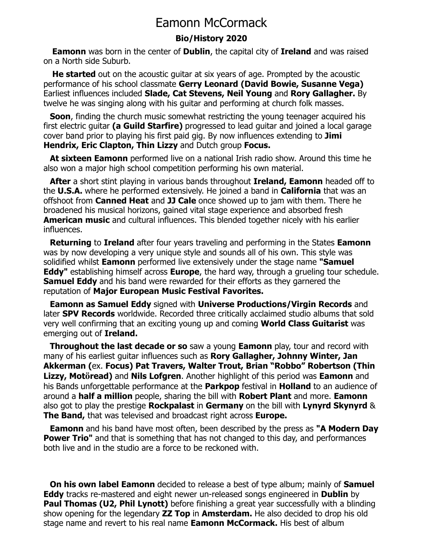## Eamonn McCormack

## **Bio/History 2020**

 **Eamonn** was born in the center of **Dublin**, the capital city of **Ireland** and was raised on a North side Suburb.

**He started** out on the acoustic quitar at six years of age. Prompted by the acoustic performance of his school classmate **Gerry Leonard (David Bowie, Susanne Vega)** Earliest influences included **Slade, Cat Stevens, Neil Young** and **Rory Gallagher.** By twelve he was singing along with his guitar and performing at church folk masses.

**Soon**, finding the church music somewhat restricting the young teenager acquired his first electric guitar **(a Guild Starfire)** progressed to lead guitar and joined a local garage cover band prior to playing his first paid gig. By now influences extending to **Jimi Hendrix, Eric Clapton, Thin Lizzy** and Dutch group **Focus.**

 **At sixteen Eamonn** performed live on a national Irish radio show. Around this time he also won a major high school competition performing his own material.

 **After** a short stint playing in various bands throughout **Ireland, Eamonn** headed off to the **U.S.A.** where he performed extensively. He joined a band in **California** that was an offshoot from **Canned Heat** and **JJ Cale** once showed up to jam with them. There he broadened his musical horizons, gained vital stage experience and absorbed fresh **American music** and cultural influences. This blended together nicely with his earlier influences.

 **Returning** to **Ireland** after four years traveling and performing in the States **Eamonn** was by now developing a very unique style and sounds all of his own. This style was solidified whilst **Eamonn** performed live extensively under the stage name **"Samuel Eddy"** establishing himself across **Europe**, the hard way, through a grueling tour schedule. **Samuel Eddy** and his band were rewarded for their efforts as they garnered the reputation of **Major European Music Festival Favorites.** 

 **Eamonn as Samuel Eddy** signed with **Universe Productions/Virgin Records** and later **SPV Records** worldwide. Recorded three critically acclaimed studio albums that sold very well confirming that an exciting young up and coming **World Class Guitarist** was emerging out of **Ireland.** 

 **Throughout the last decade or so** saw a young **Eamonn** play, tour and record with many of his earliest guitar influences such as **Rory Gallagher, Johnny Winter, Jan Akkerman (**ex. **Focus) Pat Travers, Walter Trout, Brian "Robbo" Robertson (Thin Lizzy, Motöread)** and **Nils Lofgren**. Another highlight of this period was **Eamonn** and his Bands unforgettable performance at the **Parkpop** festival in **Holland** to an audience of around a **half a million** people, sharing the bill with **Robert Plant** and more. **Eamonn**  also got to play the prestige **Rockpalast** in **Germany** on the bill with **Lynyrd Skynyrd** & **The Band,** that was televised and broadcast right across **Europe.**

 **Eamonn** and his band have most often, been described by the press as **"A Modern Day Power Trio**" and that is something that has not changed to this day, and performances both live and in the studio are a force to be reckoned with.

 **On his own label Eamonn** decided to release a best of type album; mainly of **Samuel Eddy** tracks re-mastered and eight newer un-released songs engineered in **Dublin** by **Paul Thomas (U2, Phil Lynott)** before finishing a great year successfully with a blinding show opening for the legendary **ZZ Top** in **Amsterdam.** He also decided to drop his old stage name and revert to his real name **Eamonn McCormack.** His best of album